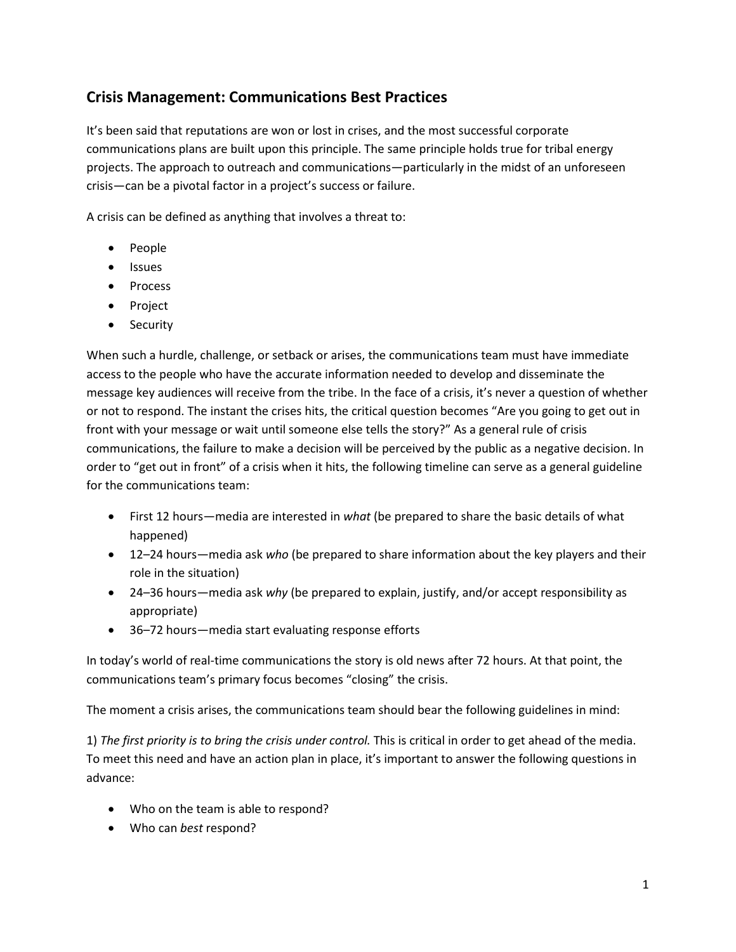# **Crisis Management: Communications Best Practices**

It's been said that reputations are won or lost in crises, and the most successful corporate communications plans are built upon this principle. The same principle holds true for tribal energy projects. The approach to outreach and communications—particularly in the midst of an unforeseen crisis—can be a pivotal factor in a project's success or failure.

A crisis can be defined as anything that involves a threat to:

- People
- Issues
- Process
- Project
- Security

When such a hurdle, challenge, or setback or arises, the communications team must have immediate access to the people who have the accurate information needed to develop and disseminate the message key audiences will receive from the tribe. In the face of a crisis, it's never a question of whether or not to respond. The instant the crises hits, the critical question becomes "Are you going to get out in front with your message or wait until someone else tells the story?" As a general rule of crisis communications, the failure to make a decision will be perceived by the public as a negative decision. In order to "get out in front" of a crisis when it hits, the following timeline can serve as a general guideline for the communications team:

- First 12 hours—media are interested in *what* (be prepared to share the basic details of what happened)
- 12–24 hours—media ask *who* (be prepared to share information about the key players and their role in the situation)
- 24–36 hours—media ask *why* (be prepared to explain, justify, and/or accept responsibility as appropriate)
- 36–72 hours—media start evaluating response efforts

In today's world of real-time communications the story is old news after 72 hours. At that point, the communications team's primary focus becomes "closing" the crisis.

The moment a crisis arises, the communications team should bear the following guidelines in mind:

1) *The first priority is to bring the crisis under control.* This is critical in order to get ahead of the media. To meet this need and have an action plan in place, it's important to answer the following questions in advance:

- Who on the team is able to respond?
- Who can *best* respond?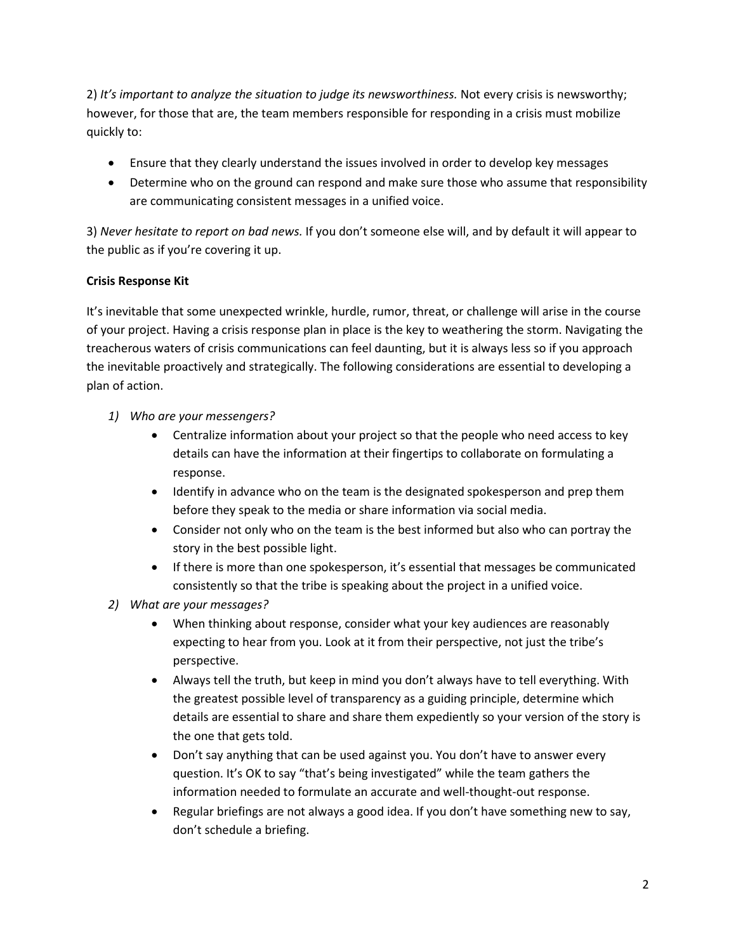2) *It's important to analyze the situation to judge its newsworthiness.* Not every crisis is newsworthy; however, for those that are, the team members responsible for responding in a crisis must mobilize quickly to:

- Ensure that they clearly understand the issues involved in order to develop key messages
- Determine who on the ground can respond and make sure those who assume that responsibility are communicating consistent messages in a unified voice.

3) *Never hesitate to report on bad news.* If you don't someone else will, and by default it will appear to the public as if you're covering it up.

## **Crisis Response Kit**

It's inevitable that some unexpected wrinkle, hurdle, rumor, threat, or challenge will arise in the course of your project. Having a crisis response plan in place is the key to weathering the storm. Navigating the treacherous waters of crisis communications can feel daunting, but it is always less so if you approach the inevitable proactively and strategically. The following considerations are essential to developing a plan of action.

- *1) Who are your messengers?*
	- Centralize information about your project so that the people who need access to key details can have the information at their fingertips to collaborate on formulating a response.
	- Identify in advance who on the team is the designated spokesperson and prep them before they speak to the media or share information via social media.
	- Consider not only who on the team is the best informed but also who can portray the story in the best possible light.
	- If there is more than one spokesperson, it's essential that messages be communicated consistently so that the tribe is speaking about the project in a unified voice.
- *2) What are your messages?*
	- When thinking about response, consider what your key audiences are reasonably expecting to hear from you. Look at it from their perspective, not just the tribe's perspective.
	- Always tell the truth, but keep in mind you don't always have to tell everything. With the greatest possible level of transparency as a guiding principle, determine which details are essential to share and share them expediently so your version of the story is the one that gets told.
	- Don't say anything that can be used against you. You don't have to answer every question. It's OK to say "that's being investigated" while the team gathers the information needed to formulate an accurate and well-thought-out response.
	- Regular briefings are not always a good idea. If you don't have something new to say, don't schedule a briefing.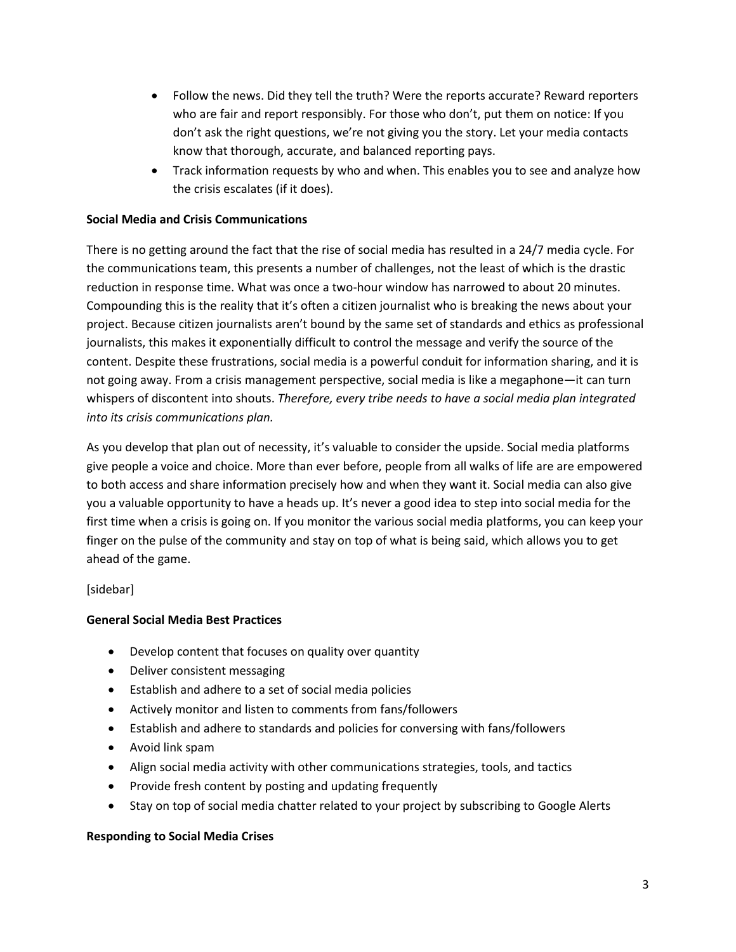- Follow the news. Did they tell the truth? Were the reports accurate? Reward reporters who are fair and report responsibly. For those who don't, put them on notice: If you don't ask the right questions, we're not giving you the story. Let your media contacts know that thorough, accurate, and balanced reporting pays.
- Track information requests by who and when. This enables you to see and analyze how the crisis escalates (if it does).

#### **Social Media and Crisis Communications**

There is no getting around the fact that the rise of social media has resulted in a 24/7 media cycle. For the communications team, this presents a number of challenges, not the least of which is the drastic reduction in response time. What was once a two-hour window has narrowed to about 20 minutes. Compounding this is the reality that it's often a citizen journalist who is breaking the news about your project. Because citizen journalists aren't bound by the same set of standards and ethics as professional journalists, this makes it exponentially difficult to control the message and verify the source of the content. Despite these frustrations, social media is a powerful conduit for information sharing, and it is not going away. From a crisis management perspective, social media is like a megaphone—it can turn whispers of discontent into shouts. *Therefore, every tribe needs to have a social media plan integrated into its crisis communications plan.*

As you develop that plan out of necessity, it's valuable to consider the upside. Social media platforms give people a voice and choice. More than ever before, people from all walks of life are are empowered to both access and share information precisely how and when they want it. Social media can also give you a valuable opportunity to have a heads up. It's never a good idea to step into social media for the first time when a crisis is going on. If you monitor the various social media platforms, you can keep your finger on the pulse of the community and stay on top of what is being said, which allows you to get ahead of the game.

## [sidebar]

#### **General Social Media Best Practices**

- Develop content that focuses on quality over quantity
- Deliver consistent messaging
- Establish and adhere to a set of social media policies
- Actively monitor and listen to comments from fans/followers
- Establish and adhere to standards and policies for conversing with fans/followers
- Avoid link spam
- Align social media activity with other communications strategies, tools, and tactics
- Provide fresh content by posting and updating frequently
- Stay on top of social media chatter related to your project by subscribing to Google Alerts

#### **Responding to Social Media Crises**